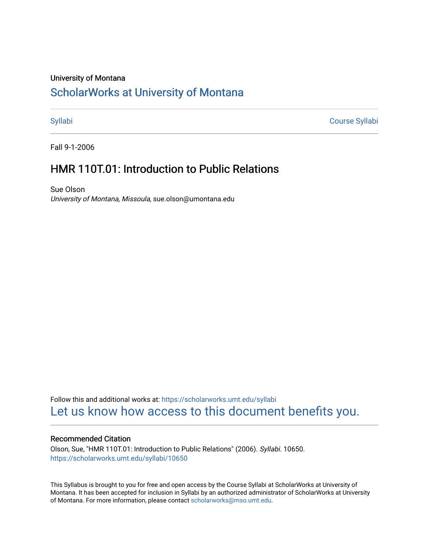### University of Montana

# [ScholarWorks at University of Montana](https://scholarworks.umt.edu/)

[Syllabi](https://scholarworks.umt.edu/syllabi) [Course Syllabi](https://scholarworks.umt.edu/course_syllabi) 

Fall 9-1-2006

## HMR 110T.01: Introduction to Public Relations

Sue Olson University of Montana, Missoula, sue.olson@umontana.edu

Follow this and additional works at: [https://scholarworks.umt.edu/syllabi](https://scholarworks.umt.edu/syllabi?utm_source=scholarworks.umt.edu%2Fsyllabi%2F10650&utm_medium=PDF&utm_campaign=PDFCoverPages)  [Let us know how access to this document benefits you.](https://goo.gl/forms/s2rGfXOLzz71qgsB2) 

#### Recommended Citation

Olson, Sue, "HMR 110T.01: Introduction to Public Relations" (2006). Syllabi. 10650. [https://scholarworks.umt.edu/syllabi/10650](https://scholarworks.umt.edu/syllabi/10650?utm_source=scholarworks.umt.edu%2Fsyllabi%2F10650&utm_medium=PDF&utm_campaign=PDFCoverPages) 

This Syllabus is brought to you for free and open access by the Course Syllabi at ScholarWorks at University of Montana. It has been accepted for inclusion in Syllabi by an authorized administrator of ScholarWorks at University of Montana. For more information, please contact [scholarworks@mso.umt.edu](mailto:scholarworks@mso.umt.edu).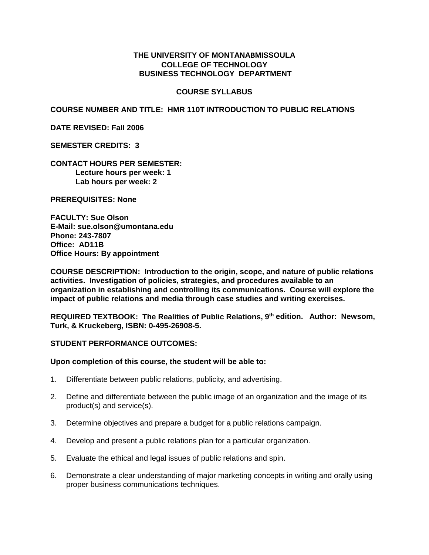### **THE UNIVERSITY OF MONTANABMISSOULA COLLEGE OF TECHNOLOGY BUSINESS TECHNOLOGY DEPARTMENT**

#### **COURSE SYLLABUS**

**COURSE NUMBER AND TITLE: HMR 110T INTRODUCTION TO PUBLIC RELATIONS**

**DATE REVISED: Fall 2006** 

**SEMESTER CREDITS: 3**

**CONTACT HOURS PER SEMESTER: Lecture hours per week: 1 Lab hours per week: 2**

**PREREQUISITES: None** 

**FACULTY: Sue Olson E-Mail: sue.olson@umontana.edu Phone: 243-7807 Office: AD11B Office Hours: By appointment**

**COURSE DESCRIPTION: Introduction to the origin, scope, and nature of public relations activities. Investigation of policies, strategies, and procedures available to an organization in establishing and controlling its communications. Course will explore the impact of public relations and media through case studies and writing exercises.**

**REQUIRED TEXTBOOK: The Realities of Public Relations, 9th edition. Author: Newsom, Turk, & Kruckeberg, ISBN: 0-495-26908-5.**

#### **STUDENT PERFORMANCE OUTCOMES:**

#### **Upon completion of this course, the student will be able to:**

- 1. Differentiate between public relations, publicity, and advertising.
- 2. Define and differentiate between the public image of an organization and the image of its product(s) and service(s).
- 3. Determine objectives and prepare a budget for a public relations campaign.
- 4. Develop and present a public relations plan for a particular organization.
- 5. Evaluate the ethical and legal issues of public relations and spin.
- 6. Demonstrate a clear understanding of major marketing concepts in writing and orally using proper business communications techniques.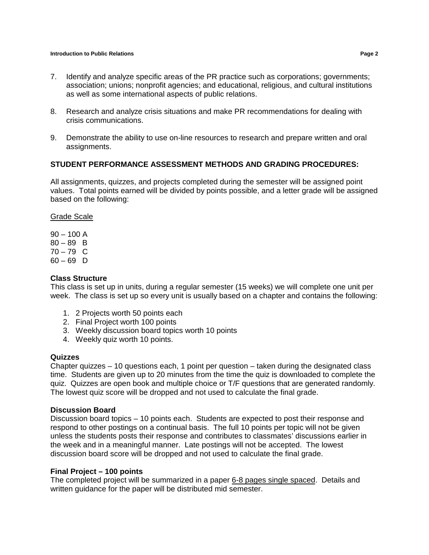#### **Introduction to Public Relations Page 2**

- 7. Identify and analyze specific areas of the PR practice such as corporations; governments; association; unions; nonprofit agencies; and educational, religious, and cultural institutions as well as some international aspects of public relations.
- 8. Research and analyze crisis situations and make PR recommendations for dealing with crisis communications.
- 9. Demonstrate the ability to use on-line resources to research and prepare written and oral assignments.

#### **STUDENT PERFORMANCE ASSESSMENT METHODS AND GRADING PROCEDURES:**

All assignments, quizzes, and projects completed during the semester will be assigned point values. Total points earned will be divided by points possible, and a letter grade will be assigned based on the following:

Grade Scale

 $90 - 100$  A  $80 - 89$  B  $70 - 79$  C  $60 - 69$  D

#### **Class Structure**

This class is set up in units, during a regular semester (15 weeks) we will complete one unit per week. The class is set up so every unit is usually based on a chapter and contains the following:

- 1. 2 Projects worth 50 points each
- 2. Final Project worth 100 points
- 3. Weekly discussion board topics worth 10 points
- 4. Weekly quiz worth 10 points.

#### **Quizzes**

Chapter quizzes – 10 questions each, 1 point per question – taken during the designated class time. Students are given up to 20 minutes from the time the quiz is downloaded to complete the quiz. Quizzes are open book and multiple choice or T/F questions that are generated randomly. The lowest quiz score will be dropped and not used to calculate the final grade.

#### **Discussion Board**

Discussion board topics – 10 points each. Students are expected to post their response and respond to other postings on a continual basis. The full 10 points per topic will not be given unless the students posts their response and contributes to classmates' discussions earlier in the week and in a meaningful manner. Late postings will not be accepted. The lowest discussion board score will be dropped and not used to calculate the final grade.

#### **Final Project – 100 points**

The completed project will be summarized in a paper 6-8 pages single spaced. Details and written guidance for the paper will be distributed mid semester.